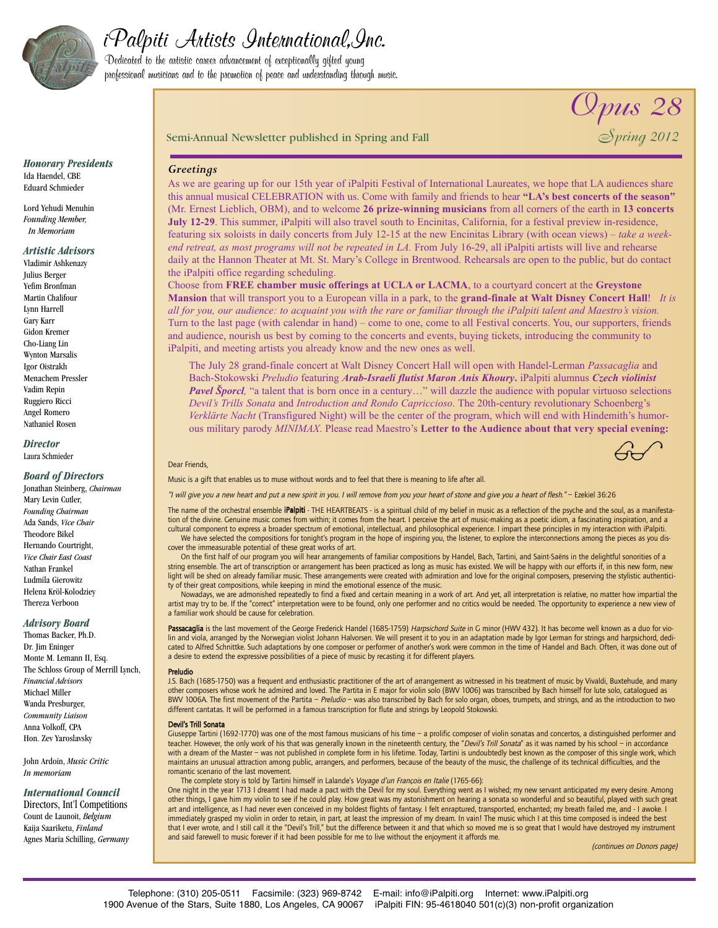

# iPalpiti Artists International,Inc.

Dedicated to the artistic career advancement of exceptionally gifted young professional musicians and to the promotion of peace and understanding through music.

*Opus 28*

*Honorary Presidents* Ida Haendel, CBE Eduard Schmieder

Lord Yehudi Menuhin *Founding Member, In Memoriam*

# *Artistic Advisors*

Vladimir Ashkenazy Julius Berger Yefim Bronfman Martin Chalifour Lynn Harrell Gary Karr Gidon Kremer Cho-Liang Lin Wynton Marsalis Igor Oistrakh Menachem Pressler Vadim Repin Ruggiero Ricci Angel Romero Nathaniel Rosen

# *Director*

Laura Schmieder

## *Board of Directors*

Jonathan Steinberg, *Chairman* Mary Levin Cutler, *Founding Chairman* Ada Sands, *Vice Chair* Theodore Bikel Hernando Courtright, *Vice Chair East Coast* Nathan Frankel Ludmila Gierowitz Helena Kröl-Kolodziey Thereza Verboon

## *Advisory Board*

Thomas Backer, Ph.D. Dr. Jim Eninger Monte M. Lemann II, Esq. The Schloss Group of Merrill Lynch, *Financial Advisors* Michael Miller Wanda Presburger, *Community Liaison* Anna Volkoff, CPA Hon. Zev Yaroslavsky

John Ardoin, *Music Critic In memoriam*

# *International Council*

Directors, Int'l Competitions Count de Launoit, *Belgium* Kaija Saariketu, *Finland* Agnes Maria Schilling, *Germany*

## Semi-Annual Newsletter published in Spring and Fall *Spring 2012*

## *Greetings*

As we are gearing up for our 15th year of iPalpiti Festival of International Laureates, we hope that LA audiences share this annual musical CELEBRATION with us. Come with family and friends to hear **"LA's best concerts of the season"** (Mr. Ernest Lieblich, OBM), and to welcome **26 prize-winning musicians** from all corners of the earth in **13 concerts July 12-29**. This summer, iPalpiti will also travel south to Encinitas, California, for a festival preview in-residence, featuring six soloists in daily concerts from July 12-15 at the new Encinitas Library (with ocean views) – *take a weekend retreat, as most programs will not be repeated in LA.* From July 16-29, all iPalpiti artists will live and rehearse daily at the Hannon Theater at Mt. St. Mary's College in Brentwood. Rehearsals are open to the public, but do contact the iPalpiti office regarding scheduling.

Choose from **FREE chamber music offerings at UCLA or LACMA**, to a courtyard concert at the **Greystone Mansion** that will transport you to a European villa in a park, to the **grand-finale at Walt Disney Concert Hall**! *It is* all for you, our audience: to acquaint you with the rare or familiar through the iPalpiti talent and Maestro's vision. Turn to the last page (with calendar in hand) – come to one, come to all Festival concerts. You, our supporters, friends and audience, nourish us best by coming to the concerts and events, buying tickets, introducing the community to iPalpiti, and meeting artists you already know and the new ones as well.

The July 28 grand-finale concert at Walt Disney Concert Hall will open with Handel-Lerman *Passacaglia* and Bach-Stokowski *Preludio* featuring *Arab-Israeli flutist Maron Anis Khoury***.** iPalpiti alumnus *Czech violinist Pavel Šporcl,* "a talent that is born once in a century…" will dazzle the audience with popular virtuoso selections *Devil's Trills Sonata* and *Introduction and Rondo Capriccioso*. The 20th-century revolutionary Schoenberg's *Verklärte Nacht* (Transfigured Night) will be the center of the program, which will end with Hindemith's humorous military parody *MINIMAX*. Please read Maestro's **Letter to the Audience about that very special evening:**

## Dear Friends,

Music is a gift that enables us to muse without words and to feel that there is meaning to life after all.

"I will give you <sup>a</sup> new heart and put <sup>a</sup> new spirit in you. <sup>I</sup> will remove from you your heart of stone and give you <sup>a</sup> heart of flesh." – Ezekiel 36:26

The name of the orchestral ensemble *iPalpiti* - THE HEARTBEATS - is a spiritual child of my belief in music as a reflection of the psyche and the soul, as a manifestation of the divine. Genuine music comes from within; it comes from the heart. I perceive the art of music-making as a poetic idiom, a fascinating inspiration, and a cultural component to express a broader spectrum of emotional, intellectual, and philosophical experience. I impart these principles in my interaction with iPalpiti. We have selected the compositions for tonight's program in the hope of inspiring you, the listener, to explore the interconnections among the pieces as you discover the immeasurable potential of these great works of art.

On the first half of our program you will hear arrangements of familiar compositions by Handel, Bach, Tartini, and Saint-Saëns in the delightful sonorities of a string ensemble. The art of transcription or arrangement has been practiced as long as music has existed. We will be happy with our efforts if, in this new form, new light will be shed on already familiar music. These arrangements were created with admiration and love for the original composers, preserving the stylistic authenticity of their great compositions, while keeping in mind the emotional essence of the music.

Nowadays, we are admonished repeatedly to find a fixed and certain meaning in a work of art. And yet, all interpretation is relative, no matter how impartial the artist may try to be. If the "correct" interpretation were to be found, only one performer and no critics would be needed. The opportunity to experience a new view of a familiar work should be cause for celebration.

Passacaglia is the last movement of the George Frederick Handel (1685-1759) Harpsichord Suite in G minor (HWV 432). It has become well known as a duo for violin and viola, arranged by the Norwegian violist Johann Halvorsen. We will present it to you in an adaptation made by Igor Lerman for strings and harpsichord, dedicated to Alfred Schnittke. Such adaptations by one composer or performer of another's work were common in the time of Handel and Bach. Often, it was done out of a desire to extend the expressive possibilities of a piece of music by recasting it for different players.

#### Preludio

J.S. Bach (1685-1750) was a frequent and enthusiastic practitioner of the art of arrangement as witnessed in his treatment of music by Vivaldi, Buxtehude, and many other composers whose work he admired and loved. The Partita in E major for violin solo (BWV 1006) was transcribed by Bach himself for lute solo, catalogued as BWV 1006A. The first movement of the Partita – Preludio – was also transcribed by Bach for solo organ, oboes, trumpets, and strings, and as the introduction to two different cantatas. It will be performed in a famous transcription for flute and strings by Leopold Stokowski.

### Devil's Trill Sonata

Giuseppe Tartini (1692-1770) was one of the most famous musicians of his time – a prolific composer of violin sonatas and concertos, a distinguished performer and teacher. However, the only work of his that was generally known in the nineteenth century, the "Devil's Trill Sonata" as it was named by his school - in accordance with a dream of the Master – was not published in complete form in his lifetime. Today, Tartini is undoubtedly best known as the composer of this single work, which maintains an unusual attraction among public, arrangers, and performers, because of the beauty of the music, the challenge of its technical difficulties, and the romantic scenario of the last movement.

The complete story is told by Tartini himself in Lalande's *Voyage d'un François en Italie* (1765-66):<br>One night in the vear 1713 I dreamt I had made a pact with the Devil for my soul. Everything went as I wished: my new s other things, I gave him my violin to see if he could play. How great was my astonishment on hearing a sonata so wonderful and so beautiful, played with such great art and intelligence, as I had never even conceived in my boldest flights of fantasy. I felt enraptured, transported, enchanted; my breath failed me, and - I awoke. I immediately grasped my violin in order to retain, in part, at least the impression of my dream. In vain! The music which I at this time composed is indeed the best that I ever wrote, and I still call it the "Devil's Trill," but the difference between it and that which so moved me is so great that I would have destroyed my instrument and said farewell to music forever if it had been possible for me to live without the enjoyment it affords me.

(continues on Donors page)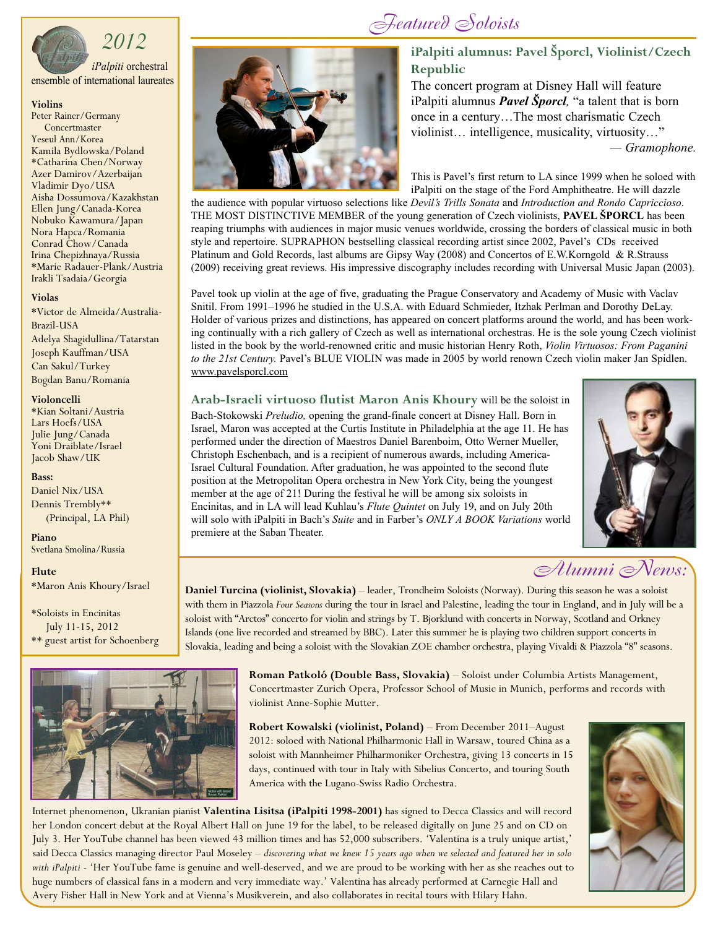

# *2012*

*iPalpiti* orchestral ensemble of international laureates

## **Violins**

Peter Rainer/Germany **Concertmaster** Yeseul Ann/Korea Kamila Bydlowska/Poland \*Catharina Chen/Norway Azer Damirov/Azerbaijan Vladimir Dyo/USA Aisha Dossumova/Kazakhstan<br>Ellen Jung/Canada-Korea<br>Nobuko Kawamura/Japan<br>Nora Hapca/Romania<br>Conrad Chow/Canada<br>Irina Chepizhnaya/Russia<br>\*Marie Radauer-Plank/Austria<br>Irakli Tsadaia/Georgia

## **Violas**

\*Victor de Almeida/Australia-Brazil-USA Adelya Shagidullina/Tatarstan Joseph Kauffman/USA Can Sakul/Turkey Bogdan Banu/Romania

## **Violoncelli**

\*Kian Soltani/Austria Lars Hoefs/USA Yoni Draiblate/Israel Jacob Shaw/UK

## **Bass:**

Daniel Nix/USA Dennis Trembly\*\* (Principal, LA Phil)

**Piano** Svetlana Smolina/Russia

## **Flute**

\*Maron Anis Khoury/Israel

\*Soloists in Encinitas July 11-15, 2012 \*\* guest artist for Schoenberg





# *Featured Soloists*

# **iPalpiti alumnus: Pavel Šporcl, Violinist/Czech Republic**

The concert program at Disney Hall will feature iPalpiti alumnus *Pavel Šporcl,* "a talent that is born once in a century…The most charismatic Czech violinist… intelligence, musicality, virtuosity…" *— Gramophone.*

This is Pavel's first return to LA since 1999 when he soloed with iPalpiti on the stage of the Ford Amphitheatre. He will dazzle

the audience with popular virtuoso selections like *Devil's Trills Sonata* and *Introduction and Rondo Capriccioso*. THE MOST DISTINCTIVE MEMBER of the young generation of Czech violinists, **PAVEL ŠPORCL** has been reaping triumphs with audiences in major music venues worldwide, crossing the borders of classical music in both style and repertoire. SUPRAPHON bestselling classical recording artist since 2002, Pavel's CDs received Platinum and Gold Records, last albums are Gipsy Way (2008) and Concertos of E.W.Korngold & R.Strauss (2009) receiving great reviews. His impressive discography includes recording with Universal Music Japan (2003).

Pavel took up violin at the age of five, graduating the Prague Conservatory and Academy of Music with Vaclav Snitil. From 1991–1996 he studied in the U.S.A. with Eduard Schmieder, Itzhak Perlman and Dorothy DeLay. Holder of various prizes and distinctions, has appeared on concert platforms around the world, and has been working continually with a rich gallery of Czech as well as international orchestras. He is the sole young Czech violinist listed in the book by the world-renowned critic and music historian Henry Roth, *Violin Virtuosos: From Paganini to the 21st Century.* Pavel's BLUE VIOLIN was made in 2005 by world renown Czech violin maker Jan Spidlen. www.pavelsporcl.com

**Arab-Israeli virtuoso flutist Maron Anis Khoury** will be the soloist in Bach-Stokowski *Preludio,* opening the grand-finale concert at Disney Hall. Born in Israel, Maron was accepted at the Curtis Institute in Philadelphia at the age 11. He has performed under the direction of Maestros Daniel Barenboim, Otto Werner Mueller, Christoph Eschenbach, and is a recipient of numerous awards, including America-Israel Cultural Foundation. After graduation, he was appointed to the second flute position at the Metropolitan Opera orchestra in New York City, being the youngest member at the age of 21! During the festival he will be among six soloists in Encinitas, and in LA will lead Kuhlau's *Flute Quintet* on July 19, and on July 20th will solo with iPalpiti in Bach's *Suite* and in Farber's *ONLY A BOOK Variations* world premiere at the Saban Theater.



# *Alumni News:*

**Daniel Turcina (violinist, Slovakia)** – leader, Trondheim Soloists (Norway). During this season he was a soloist with them in Piazzola *Four Seasons* during the tour in Israel and Palestine, leading the tour in England, and in July will be a soloist with "Arctos" concerto for violin and strings by T. Bjorklund with concerts in Norway, Scotland and Orkney Islands (one live recorded and streamed by BBC). Later this summer he is playing two children support concerts in Slovakia, leading and being a soloist with the Slovakian ZOE chamber orchestra, playing Vivaldi & Piazzola "8" seasons.

> **Roman Patkoló (Double Bass, Slovakia)** – Soloist under Columbia Artists Management, Concertmaster Zurich Opera, Professor School of Music in Munich, performs and records with violinist Anne-Sophie Mutter.

**Robert Kowalski (violinist, Poland)** – From December 2011–August 2012: soloed with National Philharmonic Hall in Warsaw, toured China as a soloist with Mannheimer Philharmoniker Orchestra, giving 13 concerts in 15 days, continued with tour in Italy with Sibelius Concerto, and touring South America with the Lugano-Swiss Radio Orchestra.

Internet phenomenon, Ukranian pianist **Valentina Lisitsa (iPalpiti 1998-2001)** has signed to Decca Classics and will record her London concert debut at the Royal Albert Hall on June 19 for the label, to be released digitally on June 25 and on CD on July 3. Her YouTube channel has been viewed 43 million times and has 52,000 subscribers. 'Valentina is a truly unique artist,' said Decca Classics managing director Paul Moseley - discovering what we knew 15 years ago when we selected and featured her in solo *with iPalpiti* - 'Her YouTube fame is genuine and well-deserved, and we are proud to be working with her as she reaches out to huge numbers of classical fans in a modern and very immediate way.' Valentina has already performed at Carnegie Hall and Avery Fisher Hall in New York and at Vienna's Musikverein, and also collaborates in recital tours with Hilary Hahn.

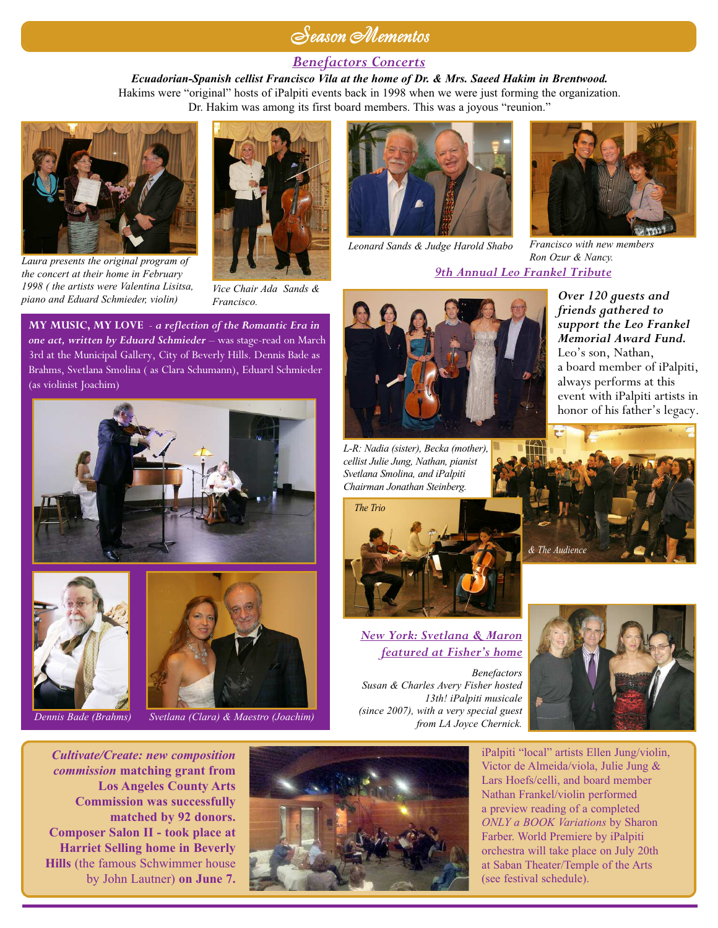# *Season Mementos*

# *Benefactors Concerts*

*Ecuadorian-Spanish cellist Francisco Vila at the home of Dr. & Mrs. Saeed Hakim in Brentwood.* Hakims were "original" hosts of iPalpiti events back in 1998 when we were just forming the organization. Dr. Hakim was among its first board members. This was a joyous "reunion."



*Laura presents the original program of the concert at their home in February 1998 ( the artists were Valentina Lisitsa, piano and Eduard Schmieder, violin)*



*Vice Chair Ada Sands & Francisco.*

**MY MUSIC, MY LOVE** - *a reflection of the Romantic Era in one act, written by Eduard Schmieder* – was stage-read on March 3rd at the Municipal Gallery, City of Beverly Hills. Dennis Bade as Brahms, Svetlana Smolina ( as Clara Schumann), Eduard Schmieder (as violinist Joachim)



![](_page_2_Picture_9.jpeg)

![](_page_2_Picture_10.jpeg)

*Dennis Bade (Brahms) Svetlana (Clara) & Maestro (Joachim)*

*Leonard Sands & Judge Harold Shabo Francisco with new members*

![](_page_2_Picture_15.jpeg)

*Over 120 guests and friends gathered to support the Leo Frankel Memorial Award Fund.* Leo's son, Nathan,

a board member of iPalpiti, always performs at this event with iPalpiti artists in honor of his father's legacy.

*Ron Ozur & Nancy. 9th Annual Leo Frankel Tribute*

![](_page_2_Picture_17.jpeg)

*L-R: Nadia (sister), Becka (mother), cellist Julie Jung, Nathan, pianist Svetlana Smolina, and iPalpiti Chairman Jonathan Steinberg.*

![](_page_2_Picture_19.jpeg)

*New York: Svetlana & Maron featured at Fisher's home*

*Benefactors Susan & Charles Avery Fisher hosted 13th! iPalpiti musicale (since 2007), with a very special guest from LA Joyce Chernick.*

![](_page_2_Picture_22.jpeg)

iPalpiti "local" artists Ellen Jung/violin, Victor de Almeida/viola, Julie Jung & Lars Hoefs/celli, and board member Nathan Frankel/violin performed a preview reading of a completed *ONLY a BOOK Variations* by Sharon Farber. World Premiere by iPalpiti orchestra will take place on July 20th at Saban Theater/Temple of the Arts (see festival schedule).

*Cultivate/Create: new composition commission* **matching grant from Los Angeles County Arts Commission was successfully matched by 92 donors. Composer Salon II - took place at Harriet Selling home in Beverly Hills** (the famous Schwimmer house by John Lautner) **on June 7.**

![](_page_2_Picture_25.jpeg)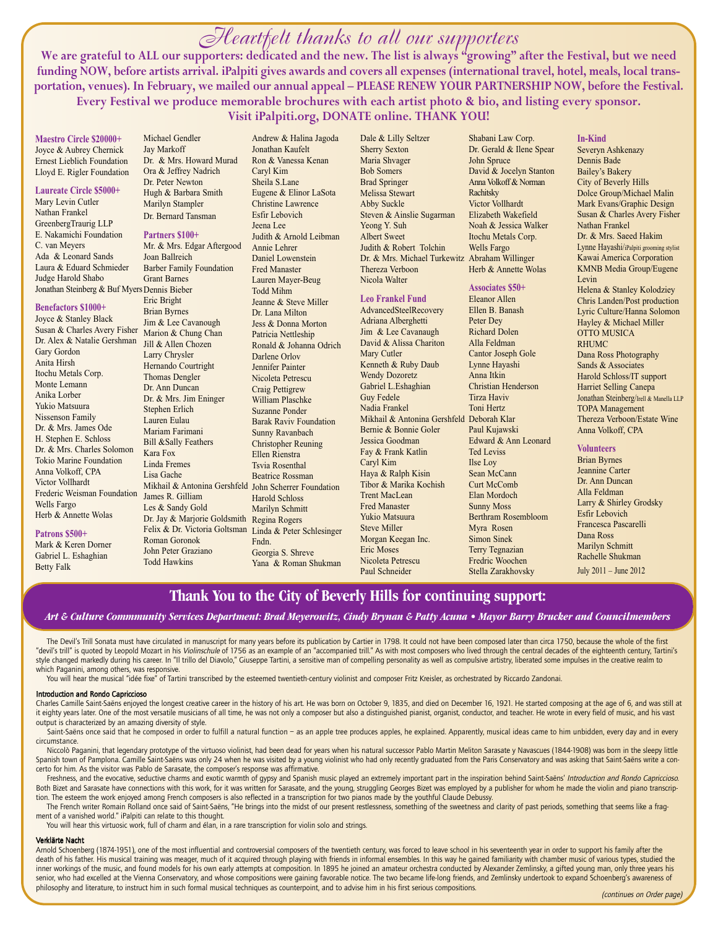# *Heartfelt thanks to all our supporters*

We are grateful to ALL our supporters: dedicated and the new. The list is always "growing" after the Festival, but we need funding NOW, before artists arrival. iPalpiti gives awards and covers all expenses (international travel, hotel, meals, local transportation, venues). In February, we mailed our annual appeal – PLEASE RENEW YOUR PARTNERSHIP NOW, before the Festival. **Every Festival we produce memorable brochures with each artist photo & bio, and listing every sponsor. Visit iPalpiti.org, DONATE online. THANK YOU!**

**Maestro Circle \$20000+** Joyce & Aubrey Chernick Ernest Lieblich Foundation Lloyd E. Rigler Foundation

**Laureate Circle \$5000+** Mary Levin Cutler Nathan Frankel GreenbergTraurig LLP E. Nakamichi Foundation C. van Meyers Ada & Leonard Sands Laura & Eduard Schmieder

Judge Harold Shabo Jonathan Steinberg & Buf Myers Dennis Bieber

# **Benefactors \$1000+**

Joyce & Stanley Black Susan & Charles Avery Fisher Marion & Chung Chan Dr. Alex & Natalie Gershman Jill & Allen Chozen Gary Gordon Anita Hirsh Itochu Metals Corp. Monte Lemann Anika Lorber Yukio Matsuura Nissenson Family Dr. & Mrs. James Ode H. Stephen E. Schloss Dr. & Mrs. Charles Solomon Tokio Marine Foundation Anna Volkoff, CPA Victor Vollhardt Frederic Weisman Foundation James R. Gilliam Wells Fargo Herb & Annette Wolas

### **Patrons \$500+**

Mark & Keren Dorner Gabriel L. Eshaghian Betty Falk

Michael Gendler Jay Markoff Dr. & Mrs. Howard Murad Ora & Jeffrey Nadrich Dr. Peter Newton Hugh & Barbara Smith Marilyn Stampler Dr. Bernard Tansman

### **Partners \$100+**

Mr. & Mrs. Edgar Aftergood Joan Ballreich Barber Family Foundation Grant Barnes Eric Bright Brian Byrnes Jim & Lee Cavanough Larry Chrysler Hernando Courtright Thomas Dengler Dr. Ann Duncan Dr. & Mrs. Jim Eninger Stephen Erlich Lauren Eulau Mariam Farimani Bill &Sally Feathers Kara Fox Linda Fremes Lisa Gache Mikhail & Antonina Gershfeld John Scherrer Foundation Les & Sandy Gold Dr. Jay & Marjorie Goldsmith Regina Rogers Felix & Dr. Victoria Goltsman Linda & Peter Schlesinger Roman Goronok John Peter Graziano Todd Hawkins

Andrew & Halina Jagoda Jonathan Kaufelt Ron & Vanessa Kenan Caryl Kim Sheila S.Lane Eugene & Elinor LaSota Christine Lawrence Esfir Lebovich Jeena Lee Judith & Arnold Leibman Annie Lehrer Daniel Lowenstein Fred Manaster Lauren Mayer-Beug Todd Mihm Jeanne & Steve Miller Dr. Lana Milton Jess & Donna Morton Patricia Nettleship Ronald & Johanna Odrich Darlene Orlov Jennifer Painter Nicoleta Petrescu Craig Pettigrew William Plaschke Suzanne Ponder Barak Raviv Foundation Sunny Ravanbach Christopher Reuning Ellen Rienstra Tsvia Rosenthal Beatrice Rossman Harold Schloss Marilyn Schmitt Fndn. Georgia S. Shreve Yana & Roman Shukman Dale & Lilly Seltzer Sherry Sexton Maria Shvager Bob Somers Brad Springer Melissa Stewart Abby Suckle Steven & Ainslie Sugarman Yeong Y. Suh Albert Sweet Judith & Robert Tolchin Dr. & Mrs. Michael Turkewitz Abraham Willinger Thereza Verboon Nicola Walter

## **Leo Frankel Fund**

AdvancedSteelRecovery Adriana Alberghetti Jim & Lee Cavanaugh David & Alissa Chariton Mary Cutler Kenneth & Ruby Daub Wendy Dozoretz Gabriel L.Eshaghian Guy Fedele Nadia Frankel Mikhail & Antonina Gershfeld Deborah Klar Bernie & Bonnie Goler Jessica Goodman Fay & Frank Katlin Caryl Kim Haya & Ralph Kisin Tibor & Marika Kochish Trent MacLean Fred Manaster Yukio Matsuura Steve Miller Morgan Keegan Inc. Eric Moses Nicoleta Petrescu Paul Schneider

Shabani Law Corp. Dr. Gerald & Ilene Spear John Spruce David & Jocelyn Stanton Anna Volkoff & Norman Rachitsky Victor Vollhardt Elizabeth Wakefield Noah & Jessica Walker Itochu Metals Corp. Wells Fargo Herb & Annette Wolas

### **Associates \$50+**

Eleanor Allen Ellen B. Banash Peter Dey Richard Dolen Alla Feldman Cantor Joseph Gole Lynne Hayashi Anna Itkin Christian Henderson Tirza Haviv Toni Hertz Paul Kujawski Edward & Ann Leonard Ted Leviss Ilse Loy Sean McCann Curt McComb Elan Mordoch Sunny Moss Berthram Rosembloom Myra Rosen Simon Sinek Terry Tegnazian Fredric Woochen Stella Zarakhovsky

### **In-Kind**

Severyn Ashkenazy Dennis Bade Bailey's Bakery City of Beverly Hills Dolce Group/Michael Malin Mark Evans/Graphic Design Susan & Charles Avery Fisher Nathan Frankel Dr. & Mrs. Saeed Hakim Lynne Hayashi/iPalpiti grooming stylist Kawai America Corporation KMNB Media Group/Eugene Levin Helena & Stanley Kolodziey Chris Landen/Post production Lyric Culture/Hanna Solomon Hayley & Michael Miller OTTO MUSICA RHUMC Dana Ross Photography Sands & Associates Harold Schloss/IT support Harriet Selling Canepa Jonathan Steinberg/Irell & Manella LLP TOPA Management Thereza Verboon/Estate Wine Anna Volkoff, CPA

# **Volunteers**

Brian Byrnes Jeannine Carter Dr. Ann Duncan Alla Feldman Larry & Shirley Grodsky Esfir Lebovich Francesca Pascarelli Dana Ross Marilyn Schmitt Rachelle Shukman July 2011 – June 2012

# **Thank You to the City of Beverly Hills for continuing support:**

## Art & Culture Commmunity Services Department: Brad Meyerowitz, Cindy Brynan & Patty Acuna • Mayor Barry Brucker and Councilmembers

The Devil's Trill Sonata must have circulated in manuscript for many years before its publication by Cartier in 1798. It could not have been composed later than circa 1750, because the whole of the first "devil's trill" is quoted by Leopold Mozart in his *Violinschule* of 1756 as an example of an "accompanied trill." As with most composers who lived through the central decades of the eighteenth century, Tartini's style changed markedly during his career. In "Il trillo del Diavolo," Giuseppe Tartini, a sensitive man of compelling personality as well as compulsive artistry, liberated some impulses in the creative realm to which Paganini, among others, was responsive.

You will hear the musical "idée fixe" of Tartini transcribed by the esteemed twentieth-century violinist and composer Fritz Kreisler, as orchestrated by Riccardo Zandonai.

#### Introduction and Rondo Capriccioso

Charles Camille Saint-Saëns enjoyed the longest creative career in the history of his art. He was born on October 9, 1835, and died on December 16, 1921. He started composing at the age of 6, and was still at it eighty years later. One of the most versatile musicians of all time, he was not only a composer but also a distinguished pianist, organist, conductor, and teacher. He wrote in every field of music, and his vast output is characterized by an amazing diversity of style.

Saint-Saëns once said that he composed in order to fulfill a natural function – as an apple tree produces apples, he explained. Apparently, musical ideas came to him unbidden, every day and in every circumstance.

Niccolò Paganini, that legendary prototype of the virtuoso violinist, had been dead for years when his natural successor Pablo Martin Meliton Sarasate y Navascues (1844-1908) was born in the sleepy little Spanish town of Pamplona. Camille Saint-Saëns was only 24 when he was visited by a young violinist who had only recently graduated from the Paris Conservatory and was asking that Saint-Saëns write a concerto for him. As the visitor was Pablo de Sarasate, the composer's response was affirmative.

Freshness, and the evocative, seductive charms and exotic warmth of gypsy and Spanish music played an extremely important part in the inspiration behind Saint-Saëns' Introduction and Rondo Capriccioso. Both Bizet and Sarasate have connections with this work, for it was written for Sarasate, and the young, struggling Georges Bizet was employed by a publisher for whom he made the violin and piano transcription. The esteem the work enjoyed among French composers is also reflected in a transcription for two pianos made by the youthful Claude Debussy.

The French writer Romain Rolland once said of Saint-Saëns, "He brings into the midst of our present restlessness, something of the sweetness and clarity of past periods, something that seems like a fragment of a vanished world." iPalpiti can relate to this thought.

You will hear this virtuosic work, full of charm and élan, in a rare transcription for violin solo and strings.

#### Verklärte Nacht

Arnold Schoenberg (1874-1951), one of the most influential and controversial composers of the twentieth century, was forced to leave school in his seventeenth year in order to support his family after the death of his father. His musical training was meager, much of it acquired through playing with friends in informal ensembles. In this way he gained familiarity with chamber music of various types, studied the inner workings of the music, and found models for his own early attempts at composition. In 1895 he joined an amateur orchestra conducted by Alexander Zemlinsky, a gifted young man, only three years his senior, who had excelled at the Vienna Conservatory, and whose compositions were gaining favorable notice. The two became life-long friends, and Zemlinsky undertook to expand Schoenberg's awareness of philosophy and literature, to instruct him in such formal musical techniques as counterpoint, and to advise him in his first serious compositions.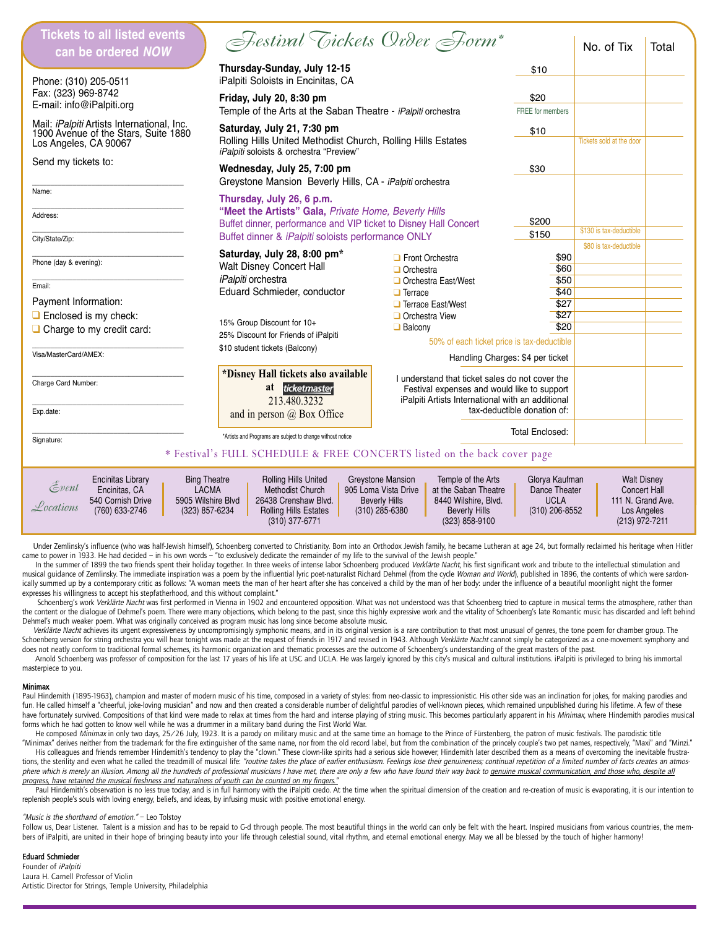| <b>Tickets to all listed events</b><br>can be ordered NOW                                                                                                                                                                                                                                                                                                                                                                                                                                                                                                                                                                                                                                       | Festival Tickets Order Form*                                                                                                           |                                                                                                                                                     |                             | No. of Tix             | Total |  |
|-------------------------------------------------------------------------------------------------------------------------------------------------------------------------------------------------------------------------------------------------------------------------------------------------------------------------------------------------------------------------------------------------------------------------------------------------------------------------------------------------------------------------------------------------------------------------------------------------------------------------------------------------------------------------------------------------|----------------------------------------------------------------------------------------------------------------------------------------|-----------------------------------------------------------------------------------------------------------------------------------------------------|-----------------------------|------------------------|-------|--|
| Phone: (310) 205-0511                                                                                                                                                                                                                                                                                                                                                                                                                                                                                                                                                                                                                                                                           | Thursday-Sunday, July 12-15<br>iPalpiti Soloists in Encinitas, CA                                                                      |                                                                                                                                                     | \$10                        |                        |       |  |
| Fax: (323) 969-8742<br>E-mail: info@iPalpiti.org                                                                                                                                                                                                                                                                                                                                                                                                                                                                                                                                                                                                                                                | Friday, July 20, 8:30 pm<br>Temple of the Arts at the Saban Theatre - iPalpiti orchestra                                               |                                                                                                                                                     | \$20<br>FREE for members    |                        |       |  |
| Mail: iPalpiti Artists International, Inc.<br>1900 Avenue of the Stars, Suite 1880<br>Los Angeles, CA 90067                                                                                                                                                                                                                                                                                                                                                                                                                                                                                                                                                                                     | Saturday, July 21, 7:30 pm<br>Rolling Hills United Methodist Church, Rolling Hills Estates                                             | \$10                                                                                                                                                | Tickets sold at the door    |                        |       |  |
| Send my tickets to:                                                                                                                                                                                                                                                                                                                                                                                                                                                                                                                                                                                                                                                                             | iPalpiti soloists & orchestra "Preview"<br>Wednesday, July 25, 7:00 pm                                                                 | \$30                                                                                                                                                |                             |                        |       |  |
| Name:                                                                                                                                                                                                                                                                                                                                                                                                                                                                                                                                                                                                                                                                                           | Greystone Mansion Beverly Hills, CA - iPalpiti orchestra<br>Thursday, July 26, 6 p.m.                                                  |                                                                                                                                                     |                             |                        |       |  |
| Address:                                                                                                                                                                                                                                                                                                                                                                                                                                                                                                                                                                                                                                                                                        | "Meet the Artists" Gala, Private Home, Beverly Hills<br>Buffet dinner, performance and VIP ticket to Disney Hall Concert               | \$200                                                                                                                                               | \$130 is tax-deductible     |                        |       |  |
| City/State/Zip:                                                                                                                                                                                                                                                                                                                                                                                                                                                                                                                                                                                                                                                                                 | Buffet dinner & iPalpiti soloists performance ONLY<br>Saturday, July 28, 8:00 pm*                                                      |                                                                                                                                                     | \$150                       | \$80 is tax-deductible |       |  |
| Phone (day & evening):                                                                                                                                                                                                                                                                                                                                                                                                                                                                                                                                                                                                                                                                          | Walt Disney Concert Hall                                                                                                               | $\Box$ Front Orchestra<br>$\Box$ Orchestra                                                                                                          | \$90<br>\$60                |                        |       |  |
| Email:<br>Payment Information:                                                                                                                                                                                                                                                                                                                                                                                                                                                                                                                                                                                                                                                                  | iPalpiti orchestra<br>Eduard Schmieder, conductor                                                                                      | Orchestra East/West<br>$\Box$ Terrace                                                                                                               | \$50<br>\$40                |                        |       |  |
| $\Box$ Enclosed is my check:<br>$\Box$ Charge to my credit card:                                                                                                                                                                                                                                                                                                                                                                                                                                                                                                                                                                                                                                | 15% Group Discount for 10+                                                                                                             | □ Terrace East/West<br>Orchestra View<br>$\Box$ Balcony                                                                                             | \$27<br>\$27<br>\$20        |                        |       |  |
| Visa/MasterCard/AMEX:                                                                                                                                                                                                                                                                                                                                                                                                                                                                                                                                                                                                                                                                           | 25% Discount for Friends of iPalpiti<br>\$10 student tickets (Balcony)                                                                 | 50% of each ticket price is tax-deductible<br>Handling Charges: \$4 per ticket                                                                      |                             |                        |       |  |
| Charge Card Number:<br>Exp.date:                                                                                                                                                                                                                                                                                                                                                                                                                                                                                                                                                                                                                                                                | *Disney Hall tickets also available<br>at ticketmaster<br>213.480.3232<br>and in person $\omega$ Box Office                            | I understand that ticket sales do not cover the<br>Festival expenses and would like to support<br>iPalpiti Artists International with an additional | tax-deductible donation of: |                        |       |  |
| Signature:                                                                                                                                                                                                                                                                                                                                                                                                                                                                                                                                                                                                                                                                                      | *Artists and Programs are subject to change without notice<br>* Festival's FULL SCHEDULE & FREE CONCERTS listed on the back cover page |                                                                                                                                                     | <b>Total Enclosed:</b>      |                        |       |  |
| <b>Bing Theatre</b><br>Rolling Hills United<br>Greystone Mansion<br>Temple of the Arts<br>Glorya Kaufman<br><b>Encinitas Library</b><br><b>Walt Disney</b><br>$\mathcal{E}$ vent<br>Encinitas, CA<br><b>LACMA</b><br>Methodist Church<br>905 Loma Vista Drive<br>at the Saban Theatre<br>Dance Theater<br>Concert Hall<br>540 Cornish Drive<br>5905 Wilshire Blvd<br>26438 Crenshaw Blvd.<br>8440 Wilshire, Blvd.<br><b>UCLA</b><br>111 N. Grand Ave.<br><b>Beverly Hills</b><br>Locations<br>(760) 633-2746<br>(323) 857-6234<br><b>Rolling Hills Estates</b><br>(310) 285-6380<br><b>Beverly Hills</b><br>(310) 206-8552<br>Los Angeles<br>(310) 377-6771<br>(323) 858-9100<br>(213) 972-7211 |                                                                                                                                        |                                                                                                                                                     |                             |                        |       |  |

Under Zemlinsky's influence (who was half-Jewish himself), Schoenberg converted to Christianity. Born into an Orthodox Jewish family, he became Lutheran at age 24, but formally reclaimed his heritage when Hitler came to power in 1933. He had decided – in his own words – "to exclusively dedicate the remainder of my life to the survival of the Jewish people."

In the summer of 1899 the two friends spent their holiday together. In three weeks of intense labor Schoenberg produced Verklärte Nacht, his first significant work and tribute to the intellectual stimulation and musical guidance of Zemlinsky. The immediate inspiration was a poem by the influential lyric poet-naturalist Richard Dehmel (from the cycle Woman and World), published in 1896, the contents of which were sardonically summed up by a contemporary critic as follows: "A woman meets the man of her heart after she has conceived a child by the man of her body: under the influence of a beautiful moonlight night the former expresses his willingness to accept his stepfatherhood, and this without complaint."

Schoenberg's work Verklärte Nacht was first performed in Vienna in 1902 and encountered opposition. What was not understood was that Schoenberg tried to capture in musical terms the atmosphere, rather than the content or the dialogue of Dehmel's poem. There were many objections, which belong to the past, since this highly expressive work and the vitality of Schoenberg's late Romantic music has discarded and left behind Dehmel's much weaker poem. What was originally conceived as program music has long since become absolute music.

Verklärte Nacht achieves its urgent expressiveness by uncompromisingly symphonic means, and in its original version is a rare contribution to that most unusual of genres, the tone poem for chamber group. The Schoenberg version for string orchestra you will hear tonight was made at the request of friends in 1917 and revised in 1943. Although Verklärte Nacht cannot simply be categorized as a one-movement symphony and does not neatly conform to traditional formal schemes, its harmonic organization and thematic processes are the outcome of Schoenberg's understanding of the great masters of the past.

Arnold Schoenberg was professor of composition for the last 17 years of his life at USC and UCLA. He was largely ignored by this city's musical and cultural institutions. iPalpiti is privileged to bring his immortal masterpiece to you.

#### Minimax

Paul Hindemith (1895-1963), champion and master of modern music of his time, composed in a variety of styles: from neo-classic to impressionistic. His other side was an inclination for jokes, for making parodies and fun. He called himself a "cheerful, joke-loving musician" and now and then created a considerable number of delightful parodies of well-known pieces, which remained unpublished during his lifetime. A few of these have fortunately survived. Compositions of that kind were made to relax at times from the hard and intense playing of string music. This becomes particularly apparent in his Minimax, where Hindemith parodies musical forms which he had gotten to know well while he was a drummer in a military band during the First World War.

He composed Minimax in only two days, 25/26 July, 1923. It is a parody on military music and at the same time an homage to the Prince of Fürstenberg, the patron of music festivals. The parodistic title "Minimax" derives neither from the trademark for the fire extinguisher of the same name, nor from the old record label, but from the combination of the princely couple's two pet names, respectively, "Maxi" and "Minzi."

His colleagues and friends remember Hindemith's tendency to play the "clown." These clown-like spirits had a serious side however; Hindemith later described them as a means of overcoming the inevitable frustrations, the sterility and even what he called the treadmill of musical life: "routine takes the place of earlier enthusiasm. Feelings lose their genuineness; continual repetition of a limited number of facts creates an atmo phere which is merely an illusion. Among all the hundreds of professional musicians I have met, there are only a few who have found their way back to genuine musical communication, and those who, despite all progress, have retained the musical freshness and naturalness of youth can be counted on my fingers."

Paul Hindemith's observation is no less true today, and is in full harmony with the iPalpiti credo. At the time when the spiritual dimension of the creation and re-creation of music is evaporating, it is our intention to replenish people's souls with loving energy, beliefs, and ideas, by infusing music with positive emotional energy.

### "Music is the shorthand of emotion." - Leo Tolstoy

Follow us, Dear Listener. Talent is a mission and has to be repaid to G-d through people. The most beautiful things in the world can only be felt with the heart. Inspired musicians from various countries, the members of iPalpiti, are united in their hope of bringing beauty into your life through celestial sound, vital rhythm, and eternal emotional energy. May we all be blessed by the touch of higher harmony!

### Eduard Schmieder

Founder of iPalpiti Laura H. Carnell Professor of Violin Artistic Director for Strings, Temple University, Philadelphia